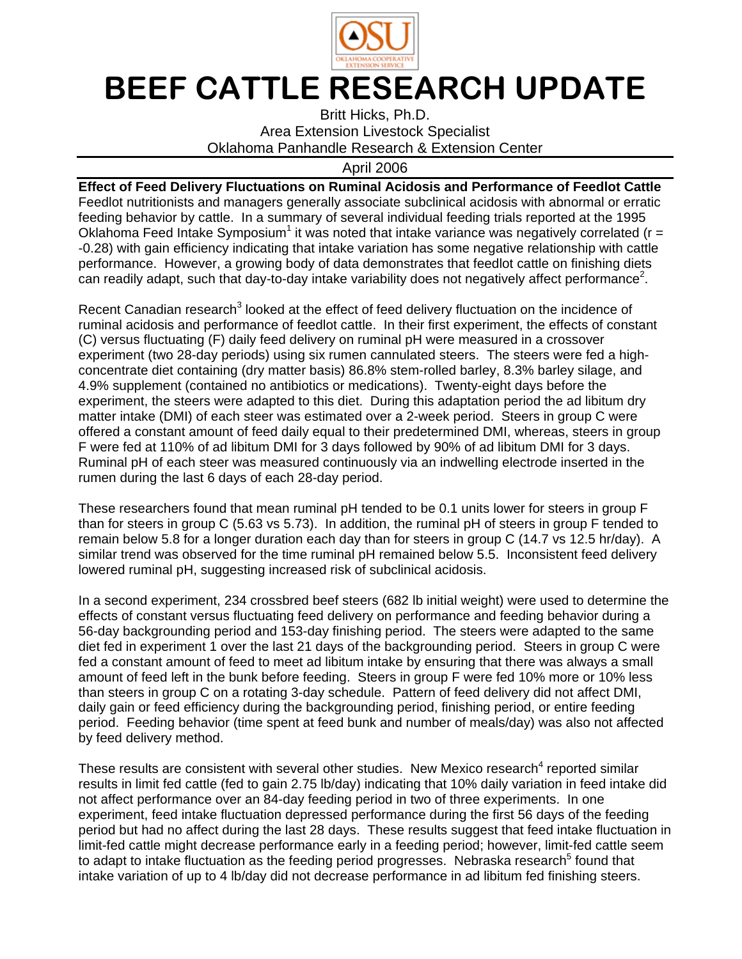

## BEEF CATTLE RESEARCH UPDATE

Britt Hicks, Ph.D. Area Extension Livestock Specialist Oklahoma Panhandle Research & Extension Center

## April 2006

**Effect of Feed Delivery Fluctuations on Ruminal Acidosis and Performance of Feedlot Cattle**  Feedlot nutritionists and managers generally associate subclinical acidosis with abnormal or erratic feeding behavior by cattle. In a summary of several individual feeding trials reported at the 1995 Oklahoma Feed Intake Symposium<sup>1</sup> it was noted that intake variance was negatively correlated ( $r =$ -0.28) with gain efficiency indicating that intake variation has some negative relationship with cattle performance. However, a growing body of data demonstrates that feedlot cattle on finishing diets can readily adapt, such that day-to-day intake variability does not negatively affect performance<sup>2</sup>.

Recent Canadian research<sup>3</sup> looked at the effect of feed delivery fluctuation on the incidence of ruminal acidosis and performance of feedlot cattle. In their first experiment, the effects of constant (C) versus fluctuating (F) daily feed delivery on ruminal pH were measured in a crossover experiment (two 28-day periods) using six rumen cannulated steers. The steers were fed a highconcentrate diet containing (dry matter basis) 86.8% stem-rolled barley, 8.3% barley silage, and 4.9% supplement (contained no antibiotics or medications). Twenty-eight days before the experiment, the steers were adapted to this diet. During this adaptation period the ad libitum dry matter intake (DMI) of each steer was estimated over a 2-week period. Steers in group C were offered a constant amount of feed daily equal to their predetermined DMI, whereas, steers in group F were fed at 110% of ad libitum DMI for 3 days followed by 90% of ad libitum DMI for 3 days. Ruminal pH of each steer was measured continuously via an indwelling electrode inserted in the rumen during the last 6 days of each 28-day period.

These researchers found that mean ruminal pH tended to be 0.1 units lower for steers in group F than for steers in group C (5.63 vs 5.73). In addition, the ruminal pH of steers in group F tended to remain below 5.8 for a longer duration each day than for steers in group C (14.7 vs 12.5 hr/day). A similar trend was observed for the time ruminal pH remained below 5.5. Inconsistent feed delivery lowered ruminal pH, suggesting increased risk of subclinical acidosis.

In a second experiment, 234 crossbred beef steers (682 lb initial weight) were used to determine the effects of constant versus fluctuating feed delivery on performance and feeding behavior during a 56-day backgrounding period and 153-day finishing period. The steers were adapted to the same diet fed in experiment 1 over the last 21 days of the backgrounding period. Steers in group C were fed a constant amount of feed to meet ad libitum intake by ensuring that there was always a small amount of feed left in the bunk before feeding. Steers in group F were fed 10% more or 10% less than steers in group C on a rotating 3-day schedule. Pattern of feed delivery did not affect DMI, daily gain or feed efficiency during the backgrounding period, finishing period, or entire feeding period. Feeding behavior (time spent at feed bunk and number of meals/day) was also not affected by feed delivery method.

These results are consistent with several other studies. New Mexico research<sup>4</sup> reported similar results in limit fed cattle (fed to gain 2.75 lb/day) indicating that 10% daily variation in feed intake did not affect performance over an 84-day feeding period in two of three experiments. In one experiment, feed intake fluctuation depressed performance during the first 56 days of the feeding period but had no affect during the last 28 days. These results suggest that feed intake fluctuation in limit-fed cattle might decrease performance early in a feeding period; however, limit-fed cattle seem to adapt to intake fluctuation as the feeding period progresses. Nebraska research<sup>5</sup> found that intake variation of up to 4 lb/day did not decrease performance in ad libitum fed finishing steers.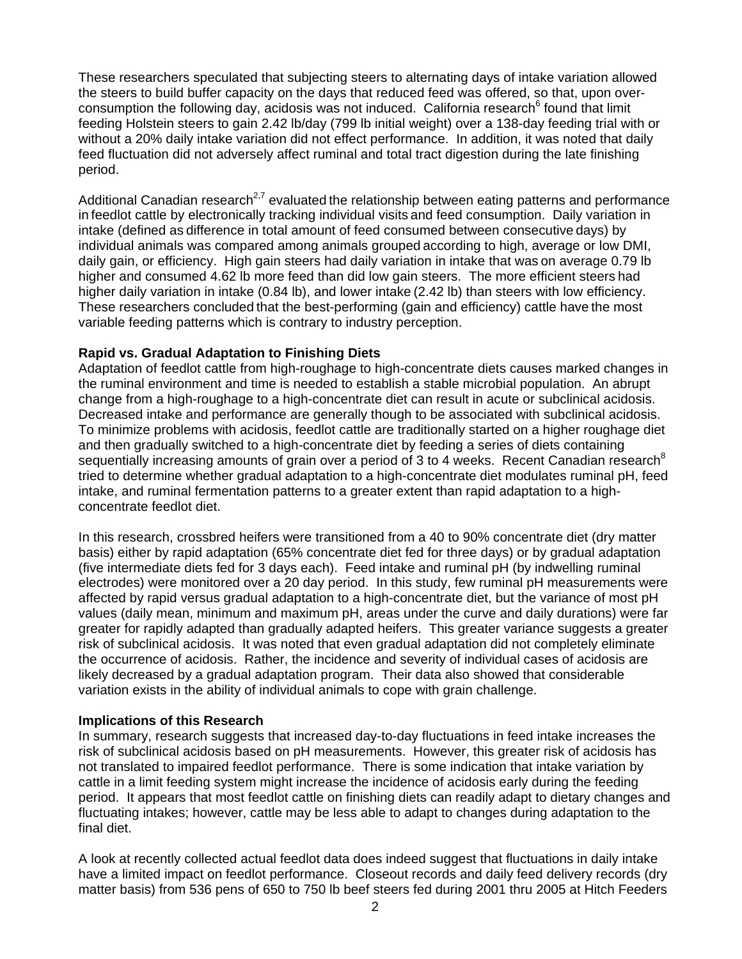These researchers speculated that subjecting steers to alternating days of intake variation allowed the steers to build buffer capacity on the days that reduced feed was offered, so that, upon overconsumption the following day, acidosis was not induced. California research<sup>6</sup> found that limit feeding Holstein steers to gain 2.42 lb/day (799 lb initial weight) over a 138-day feeding trial with or without a 20% daily intake variation did not effect performance. In addition, it was noted that daily feed fluctuation did not adversely affect ruminal and total tract digestion during the late finishing period.

Additional Canadian research<sup>2,7</sup> evaluated the relationship between eating patterns and performance in feedlot cattle by electronically tracking individual visits and feed consumption. Daily variation in intake (defined as difference in total amount of feed consumed between consecutive days) by individual animals was compared among animals grouped according to high, average or low DMI, daily gain, or efficiency. High gain steers had daily variation in intake that was on average 0.79 lb higher and consumed 4.62 lb more feed than did low gain steers. The more efficient steers had higher daily variation in intake (0.84 lb), and lower intake (2.42 lb) than steers with low efficiency. These researchers concluded that the best-performing (gain and efficiency) cattle have the most variable feeding patterns which is contrary to industry perception.

## **Rapid vs. Gradual Adaptation to Finishing Diets**

Adaptation of feedlot cattle from high-roughage to high-concentrate diets causes marked changes in the ruminal environment and time is needed to establish a stable microbial population. An abrupt change from a high-roughage to a high-concentrate diet can result in acute or subclinical acidosis. Decreased intake and performance are generally though to be associated with subclinical acidosis. To minimize problems with acidosis, feedlot cattle are traditionally started on a higher roughage diet and then gradually switched to a high-concentrate diet by feeding a series of diets containing sequentially increasing amounts of grain over a period of 3 to 4 weeks. Recent Canadian research<sup>8</sup> tried to determine whether gradual adaptation to a high-concentrate diet modulates ruminal pH, feed intake, and ruminal fermentation patterns to a greater extent than rapid adaptation to a highconcentrate feedlot diet.

In this research, crossbred heifers were transitioned from a 40 to 90% concentrate diet (dry matter basis) either by rapid adaptation (65% concentrate diet fed for three days) or by gradual adaptation (five intermediate diets fed for 3 days each). Feed intake and ruminal pH (by indwelling ruminal electrodes) were monitored over a 20 day period. In this study, few ruminal pH measurements were affected by rapid versus gradual adaptation to a high-concentrate diet, but the variance of most pH values (daily mean, minimum and maximum pH, areas under the curve and daily durations) were far greater for rapidly adapted than gradually adapted heifers. This greater variance suggests a greater risk of subclinical acidosis. It was noted that even gradual adaptation did not completely eliminate the occurrence of acidosis. Rather, the incidence and severity of individual cases of acidosis are likely decreased by a gradual adaptation program. Their data also showed that considerable variation exists in the ability of individual animals to cope with grain challenge.

## **Implications of this Research**

In summary, research suggests that increased day-to-day fluctuations in feed intake increases the risk of subclinical acidosis based on pH measurements. However, this greater risk of acidosis has not translated to impaired feedlot performance. There is some indication that intake variation by cattle in a limit feeding system might increase the incidence of acidosis early during the feeding period. It appears that most feedlot cattle on finishing diets can readily adapt to dietary changes and fluctuating intakes; however, cattle may be less able to adapt to changes during adaptation to the final diet.

A look at recently collected actual feedlot data does indeed suggest that fluctuations in daily intake have a limited impact on feedlot performance. Closeout records and daily feed delivery records (dry matter basis) from 536 pens of 650 to 750 lb beef steers fed during 2001 thru 2005 at Hitch Feeders